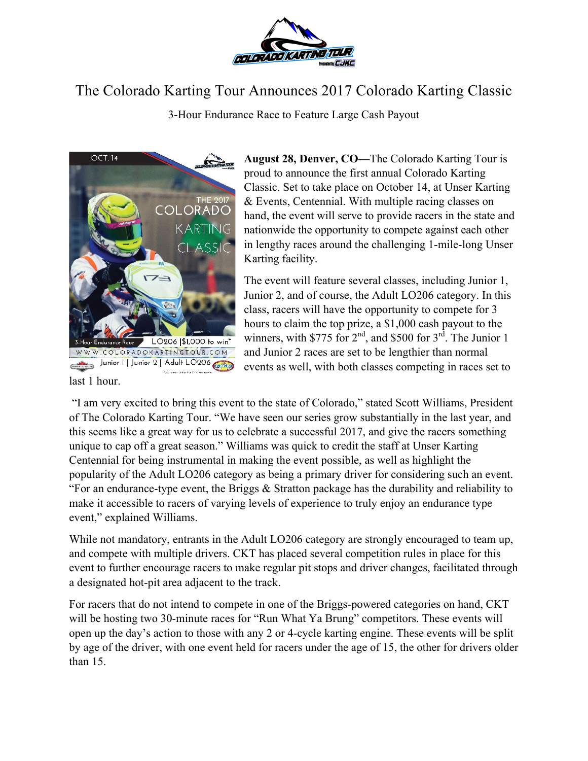

## The Colorado Karting Tour Announces 2017 Colorado Karting Classic

3-Hour Endurance Race to Feature Large Cash Payout



**August 28, Denver, CO—**The Colorado Karting Tour is proud to announce the first annual Colorado Karting Classic. Set to take place on October 14, at Unser Karting & Events, Centennial. With multiple racing classes on hand, the event will serve to provide racers in the state and nationwide the opportunity to compete against each other in lengthy races around the challenging 1-mile-long Unser Karting facility.

The event will feature several classes, including Junior 1, Junior 2, and of course, the Adult LO206 category. In this class, racers will have the opportunity to compete for 3 hours to claim the top prize, a \$1,000 cash payout to the winners, with \$775 for  $2<sup>nd</sup>$ , and \$500 for  $3<sup>rd</sup>$ . The Junior 1 and Junior 2 races are set to be lengthier than normal events as well, with both classes competing in races set to

last 1 hour.

"I am very excited to bring this event to the state of Colorado," stated Scott Williams, President of The Colorado Karting Tour. "We have seen our series grow substantially in the last year, and this seems like a great way for us to celebrate a successful 2017, and give the racers something unique to cap off a great season." Williams was quick to credit the staff at Unser Karting Centennial for being instrumental in making the event possible, as well as highlight the popularity of the Adult LO206 category as being a primary driver for considering such an event. "For an endurance-type event, the Briggs & Stratton package has the durability and reliability to make it accessible to racers of varying levels of experience to truly enjoy an endurance type event," explained Williams.

While not mandatory, entrants in the Adult LO206 category are strongly encouraged to team up, and compete with multiple drivers. CKT has placed several competition rules in place for this event to further encourage racers to make regular pit stops and driver changes, facilitated through a designated hot-pit area adjacent to the track.

For racers that do not intend to compete in one of the Briggs-powered categories on hand, CKT will be hosting two 30-minute races for "Run What Ya Brung" competitors. These events will open up the day's action to those with any 2 or 4-cycle karting engine. These events will be split by age of the driver, with one event held for racers under the age of 15, the other for drivers older than 15.